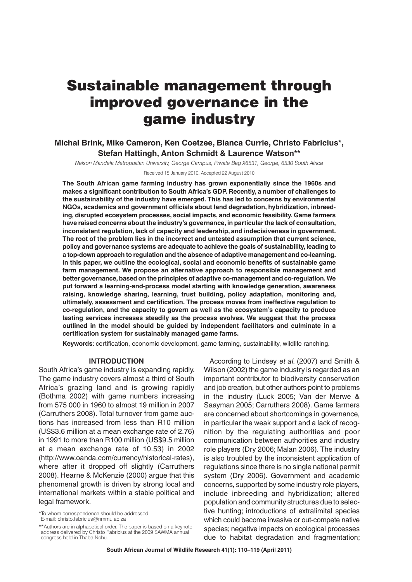# **Sustainable management through improved governance in the game industry**

# **Michal Brink, Mike Cameron, Ken Coetzee, Bianca Currie, Christo Fabricius\*, Stefan Hattingh, Anton Schmidt & Laurence Watson\*\***

*Nelson Mandela Metropolitan University, George Campus, Private Bag X6531, George, 6530 South Africa*

#### Received 15 January 2010. Accepted 22 August 2010

**The South African game farming industry has grown exponentially since the 1960s and makes a significant contribution to South Africa's GDP. Recently, a number of challenges to the sustainability of the industry have emerged. This has led to concerns by environmental NGOs, academics and government officials about land degradation, hybridization, inbreeding, disrupted ecosystem processes, social impacts, and economic feasibility. Game farmers have raised concerns about the industry's governance, in particular the lack of consultation, inconsistent regulation, lack of capacity and leadership, and indecisiveness in government. The root of the problem lies in the incorrect and untested assumption that current science, policy and governance systems are adequate to achieve the goals of sustainability, leading to a top-down approach to regulation and the absence of adaptive management and co-learning. In this paper, we outline the ecological, social and economic benefits of sustainable game farm management. We propose an alternative approach to responsible management and better governance, based on the principles of adaptive co-management and co-regulation. We put forward a learning-and-process model starting with knowledge generation, awareness raising, knowledge sharing, learning, trust building, policy adaptation, monitoring and, ultimately, assessment and certification. The process moves from ineffective regulation to co-regulation, and the capacity to govern as well as the ecosystem's capacity to produce lasting services increases steadily as the process evolves. We suggest that the process outlined in the model should be guided by independent facilitators and culminate in a certification system for sustainably managed game farms.**

**Keywords**: certification, economic development, game farming, sustainability, wildlife ranching.

# **INTRODUCTION**

South Africa's game industry is expanding rapidly. The game industry covers almost a third of South Africa's grazing land and is growing rapidly (Bothma 2002) with game numbers increasing from 575 000 in 1960 to almost 19 million in 2007 (Carruthers 2008). Total turnover from game auctions has increased from less than R10 million (US\$3.6 million at a mean exchange rate of 2.76) in 1991 to more than R100 million (US\$9.5 million at a mean exchange rate of 10.53) in 2002 (http://www.oanda.com/currency/historical-rates), where after it dropped off slightly (Carruthers 2008). Hearne & McKenzie (2000) argue that this phenomenal growth is driven by strong local and international markets within a stable political and legal framework.

According to Lindsey et al. (2007) and Smith & Wilson (2002) the game industry is regarded as an important contributor to biodiversity conservation and job creation, but other authors point to problems in the industry (Luck 2005; Van der Merwe & Saayman 2005; Carruthers 2008). Game farmers are concerned about shortcomings in governance, in particular the weak support and a lack of recognition by the regulating authorities and poor communication between authorities and industry role players (Dry 2006; Malan 2006). The industry is also troubled by the inconsistent application of regulations since there is no single national permit system (Dry 2006). Government and academic concerns, supported by some industry role players, include inbreeding and hybridization; altered population and community structures due to selective hunting; introductions of extralimital species which could become invasive or out-compete native species; negative impacts on ecological processes due to habitat degradation and fragmentation;

<sup>\*</sup>To whom correspondence should be addressed. E-mail: christo.fabricius@nmmu.ac.za

<sup>\*\*</sup>Authors are in alphabetical order. The paper is based on a keynote address delivered by Christo Fabricius at the 2009 SAWMA annual congress held in Thaba Nchu.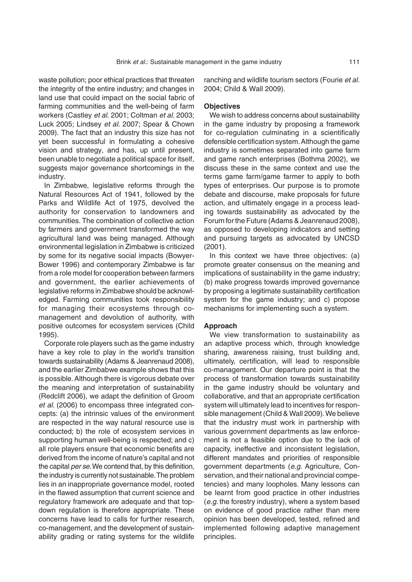waste pollution; poor ethical practices that threaten the integrity of the entire industry; and changes in land use that could impact on the social fabric of farming communities and the well-being of farm workers (Castley et al. 2001; Coltman et al. 2003; Luck 2005; Lindsey et al. 2007; Spear & Chown 2009). The fact that an industry this size has not yet been successful in formulating a cohesive vision and strategy, and has, up until present, been unable to negotiate a political space for itself, suggests major governance shortcomings in the industry.

In Zimbabwe, legislative reforms through the Natural Resources Act of 1941, followed by the Parks and Wildlife Act of 1975, devolved the authority for conservation to landowners and communities. The combination of collective action by farmers and government transformed the way agricultural land was being managed. Although environmental legislation in Zimbabwe is criticized by some for its negative social impacts (Bowyer-Bower 1996) and contemporary Zimbabwe is far from a role model for cooperation between farmers and government, the earlier achievements of legislative reforms in Zimbabwe should be acknowledged. Farming communities took responsibility for managing their ecosystems through comanagement and devolution of authority, with positive outcomes for ecosystem services (Child 1995).

Corporate role players such as the game industry have a key role to play in the world's transition towards sustainability (Adams & Jeanrenaud 2008), and the earlier Zimbabwe example shows that this is possible. Although there is vigorous debate over the meaning and interpretation of sustainability (Redclift 2006), we adapt the definition of Groom et al. (2006) to encompass three integrated concepts: (a) the intrinsic values of the environment are respected in the way natural resource use is conducted; b) the role of ecosystem services in supporting human well-being is respected; and c) all role players ensure that economic benefits are derived from the income of nature's capital and not the capital *per se.* We contend that, by this definition, the industry is currently not sustainable.The problem lies in an inappropriate governance model, rooted in the flawed assumption that current science and regulatory framework are adequate and that topdown regulation is therefore appropriate. These concerns have lead to calls for further research, co-management, and the development of sustainability grading or rating systems for the wildlife ranching and wildlife tourism sectors (Fourie et al. 2004; Child & Wall 2009).

#### **Objectives**

We wish to address concerns about sustainability in the game industry by proposing a framework for co-regulation culminating in a scientifically defensible certification system.Although the game industry is sometimes separated into game farm and game ranch enterprises (Bothma 2002), we discuss these in the same context and use the terms game farm/game farmer to apply to both types of enterprises. Our purpose is to promote debate and discourse, make proposals for future action, and ultimately engage in a process leading towards sustainability as advocated by the Forum for the Future (Adams & Jeanrenaud 2008), as opposed to developing indicators and setting and pursuing targets as advocated by UNCSD (2001).

In this context we have three objectives: (a) promote greater consensus on the meaning and implications of sustainability in the game industry; (b) make progress towards improved governance by proposing a legitimate sustainability certification system for the game industry; and c) propose mechanisms for implementing such a system.

## **Approach**

We view transformation to sustainability as an adaptive process which, through knowledge sharing, awareness raising, trust building and, ultimately, certification, will lead to responsible co-management. Our departure point is that the process of transformation towards sustainability in the game industry should be voluntary and collaborative, and that an appropriate certification system will ultimately lead to incentives for responsible management (Child & Wall 2009).We believe that the industry must work in partnership with various government departments as law enforcement is not a feasible option due to the lack of capacity, ineffective and inconsistent legislation, different mandates and priorities of responsible government departments (e.g. Agriculture, Conservation, and their national and provincial competencies) and many loopholes. Many lessons can be learnt from good practice in other industries (e.g. the forestry industry), where a system based on evidence of good practice rather than mere opinion has been developed, tested, refined and implemented following adaptive management principles.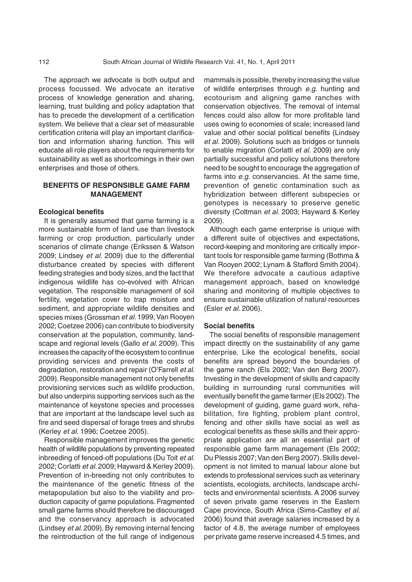The approach we advocate is both output and process focussed. We advocate an iterative process of knowledge generation and sharing, learning, trust building and policy adaptation that has to precede the development of a certification system. We believe that a clear set of measurable certification criteria will play an important clarification and information sharing function. This will educate all role players about the requirements for sustainability as well as shortcomings in their own enterprises and those of others.

# **BENEFITS OF RESPONSIBLE GAME FARM MANAGEMENT**

# **Ecological benefits**

It is generally assumed that game farming is a more sustainable form of land use than livestock farming or crop production, particularly under scenarios of climate change (Erikssen & Watson 2009; Lindsey et al. 2009) due to the differential disturbance created by species with different feeding strategies and body sizes, and the fact that indigenous wildlife has co-evolved with African vegetation. The responsible management of soil fertility, vegetation cover to trap moisture and sediment, and appropriate wildlife densities and species mixes (Grossman et al. 1999; Van Rooyen 2002;Coetzee 2006) can contribute to biodiversity conservation at the population, community, landscape and regional levels (Gallo et al. 2009). This increases the capacity of the ecosystem to continue providing services and prevents the costs of degradation, restoration and repair (O'Farrell et al. 2009).Responsible management not only benefits provisioning services such as wildlife production, but also underpins supporting services such as the maintenance of keystone species and processes that are important at the landscape level such as fire and seed dispersal of forage trees and shrubs (Kerley et al. 1996; Coetzee 2005).

Responsible management improves the genetic health of wildlife populations by preventing repeated inbreeding of fenced-off populations (Du Toit et al. 2002; Corlatti et al. 2009; Hayward & Kerley 2009). Prevention of in-breeding not only contributes to the maintenance of the genetic fitness of the metapopulation but also to the viability and production capacity of game populations. Fragmented small game farms should therefore be discouraged and the conservancy approach is advocated (Lindsey et al. 2009). By removing internal fencing the reintroduction of the full range of indigenous mammals is possible, thereby increasing the value of wildlife enterprises through e.g. hunting and ecotourism and aligning game ranches with conservation objectives. The removal of internal fences could also allow for more profitable land uses owing to economies of scale; increased land value and other social political benefits (Lindsey et al. 2009). Solutions such as bridges or tunnels to enable migration (Corlatti et al. 2009) are only partially successful and policy solutions therefore need to be sought to encourage the aggregation of farms into e.g. conservancies. At the same time, prevention of genetic contamination such as hybridization between different subspecies or genotypes is necessary to preserve genetic diversity (Coltman et al. 2003; Hayward & Kerley 2009).

Although each game enterprise is unique with a different suite of objectives and expectations, record-keeping and monitoring are critically important tools for responsible game farming (Bothma & Van Rooyen 2002; Lynam & Stafford Smith 2004). We therefore advocate a cautious adaptive management approach, based on knowledge sharing and monitoring of multiple objectives to ensure sustainable utilization of natural resources (Esler et al. 2006).

## **Social benefits**

The social benefits of responsible management impact directly on the sustainability of any game enterprise. Like the ecological benefits, social benefits are spread beyond the boundaries of the game ranch (Els 2002; Van den Berg 2007). Investing in the development of skills and capacity building in surrounding rural communities will eventually benefit the game farmer (Els 2002).The development of guiding, game guard work, rehabilitation, fire fighting, problem plant control, fencing and other skills have social as well as ecological benefits as these skills and their appropriate application are all an essential part of responsible game farm management (Els 2002; Du Plessis 2007; Van den Berg 2007). Skills development is not limited to manual labour alone but extends to professional services such as veterinary scientists, ecologists, architects, landscape architects and environmental scientists. A 2006 survey of seven private game reserves in the Eastern Cape province, South Africa (Sims-Castley et al. 2006) found that average salaries increased by a factor of 4.8, the average number of employees per private game reserve increased 4.5 times, and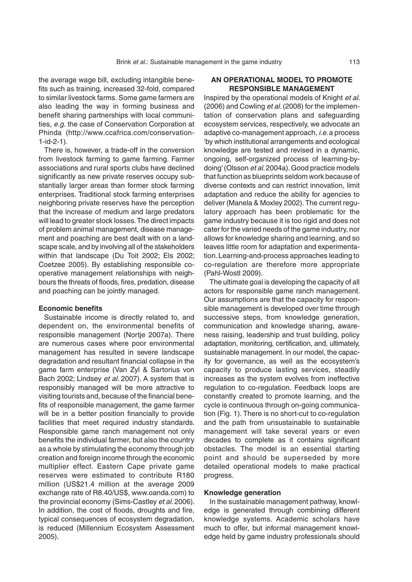the average wage bill, excluding intangible benefits such as training, increased 32-fold, compared to similar livestock farms. Some game farmers are also leading the way in forming business and benefit sharing partnerships with local communities, e.g. the case of Conservation Corporation at Phinda (http://www.ccafrica.com/conservation-1-id-2-1).

There is, however, a trade-off in the conversion from livestock farming to game farming. Farmer associations and rural sports clubs have declined significantly as new private reserves occupy substantially larger areas than former stock farming enterprises. Traditional stock farming enterprises neighboring private reserves have the perception that the increase of medium and large predators will lead to greater stock losses.The direct impacts of problem animal management, disease management and poaching are best dealt with on a landscape scale, and by involving all of the stakeholders within that landscape (Du Toit 2002; Els 2002; Coetzee 2005). By establishing responsible cooperative management relationships with neighbours the threats of floods, fires, predation, disease and poaching can be jointly managed.

#### **Economic benefits**

Sustainable income is directly related to, and dependent on, the environmental benefits of responsible management (Nortje 2007a). There are numerous cases where poor environmental management has resulted in severe landscape degradation and resultant financial collapse in the game farm enterprise (Van Zyl & Sartorius von Bach 2002; Lindsey et al. 2007). A system that is responsibly managed will be more attractive to visiting tourists and, because of the financial benefits of responsible management, the game farmer will be in a better position financially to provide facilities that meet required industry standards. Responsible game ranch management not only benefits the individual farmer, but also the country as a whole by stimulating the economy through job creation and foreign income through the economic multiplier effect. Eastern Cape private game reserves were estimated to contribute R180 million (US\$21.4 million at the average 2009 exchange rate of R8.40/US\$, www.oanda.com) to the provincial economy (Sims-Castley et al. 2006). In addition, the cost of floods, droughts and fire, typical consequences of ecosystem degradation, is reduced (Millennium Ecosystem Assessment 2005).

# **AN OPERATIONAL MODEL TO PROMOTE RESPONSIBLE MANAGEMENT**

Inspired by the operational models of Knight et al. (2006) and Cowling et al.(2008) for the implementation of conservation plans and safeguarding ecosystem services, respectively, we advocate an adaptive co-management approach, i.e.a process 'by which institutional arrangements and ecological knowledge are tested and revised in a dynamic, ongoing, self-organized process of learning-bydoing'(Olsson et al.2004a).Good practice models that function as blueprints seldom work because of diverse contexts and can restrict innovation, limit adaptation and reduce the ability for agencies to deliver (Manela & Moxley 2002). The current regulatory approach has been problematic for the game industry because it is too rigid and does not cater for the varied needs of the game industry, nor allows for knowledge sharing and learning, and so leaves little room for adaptation and experimentation.Learning-and-process approaches leading to co-regulation are therefore more appropriate (Pahl-Wostl 2009).

The ultimate goal is developing the capacity of all actors for responsible game ranch management. Our assumptions are that the capacity for responsible management is developed over time through successive steps, from knowledge generation, communication and knowledge sharing, awareness raising, leadership and trust building, policy adaptation, monitoring, certification, and, ultimately, sustainable management. In our model, the capacity for governance, as well as the ecosystem's capacity to produce lasting services, steadily increases as the system evolves from ineffective regulation to co-regulation. Feedback loops are constantly created to promote learning, and the cycle is continuous through on-going communication (Fig. 1). There is no short-cut to co-regulation and the path from unsustainable to sustainable management will take several years or even decades to complete as it contains significant obstacles. The model is an essential starting point and should be superseded by more detailed operational models to make practical progress.

#### **Knowledge generation**

In the sustainable management pathway, knowledge is generated through combining different knowledge systems. Academic scholars have much to offer, but informal management knowledge held by game industry professionals should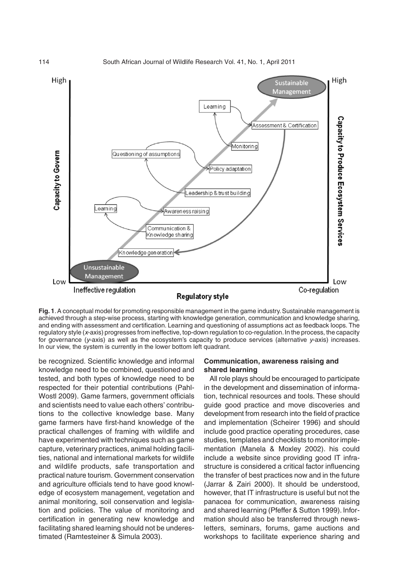

**Fig. 1.** A conceptual model for promoting responsible management in the game industry. Sustainable management is achieved through a step-wise process, starting with knowledge generation, communication and knowledge sharing, and ending with assessment and certification. Learning and questioning of assumptions act as feedback loops. The regulatory style (x-axis) progresses from ineffective, top-down regulation to co-regulation.In the process, the capacity for governance (y-axis) as well as the ecosystem's capacity to produce services (alternative y-axis) increases. In our view, the system is currently in the lower bottom left quadrant.

be recognized. Scientific knowledge and informal knowledge need to be combined, questioned and tested, and both types of knowledge need to be respected for their potential contributions (Pahl-Wostl 2009). Game farmers, government officials and scientists need to value each others' contributions to the collective knowledge base. Many game farmers have first-hand knowledge of the practical challenges of framing with wildlife and have experimented with techniques such as game capture, veterinary practices, animal holding facilities, national and international markets for wildlife and wildlife products, safe transportation and practical nature tourism. Government conservation and agriculture officials tend to have good knowledge of ecosystem management, vegetation and animal monitoring, soil conservation and legislation and policies. The value of monitoring and certification in generating new knowledge and facilitating shared learning should not be underestimated (Ramtesteiner & Simula 2003).

# **Communication, awareness raising and shared learning**

All role plays should be encouraged to participate in the development and dissemination of information, technical resources and tools. These should guide good practice and move discoveries and development from research into the field of practice and implementation (Scheirer 1996) and should include good practice operating procedures, case studies, templates and checklists to monitor implementation (Manela & Moxley 2002). his could include a website since providing good IT infrastructure is considered a critical factor influencing the transfer of best practices now and in the future (Jarrar & Zairi 2000). It should be understood, however, that IT infrastructure is useful but not the panacea for communication, awareness raising and shared learning (Pfeffer & Sutton 1999). Information should also be transferred through newsletters, seminars, forums, game auctions and workshops to facilitate experience sharing and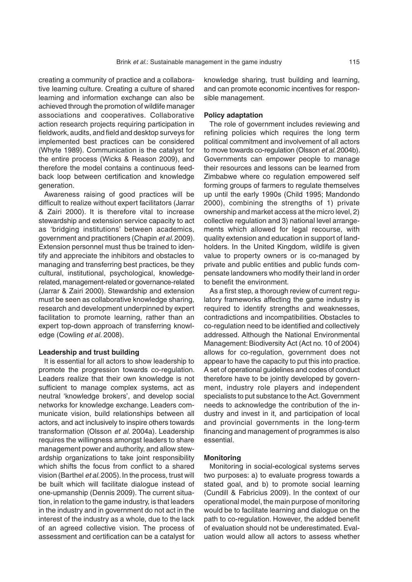creating a community of practice and a collaborative learning culture. Creating a culture of shared learning and information exchange can also be achieved through the promotion of wildlife manager associations and cooperatives. Collaborative action research projects requiring participation in fieldwork, audits, and field and desktop surveys for implemented best practices can be considered (Whyte 1989). Communication is the catalyst for the entire process (Wicks & Reason 2009), and therefore the model contains a continuous feedback loop between certification and knowledge generation.

Awareness raising of good practices will be difficult to realize without expert facilitators (Jarrar & Zairi 2000). It is therefore vital to increase stewardship and extension service capacity to act as 'bridging institutions' between academics, government and practitioners (Chapin et al. 2009). Extension personnel must thus be trained to identify and appreciate the inhibitors and obstacles to managing and transferring best practices, be they cultural, institutional, psychological, knowledgerelated, management-related or governance-related (Jarrar & Zairi 2000). Stewardship and extension must be seen as collaborative knowledge sharing, research and development underpinned by expert facilitation to promote learning, rather than an expert top-down approach of transferring knowledge (Cowling et al. 2008).

#### **Leadership and trust building**

It is essential for all actors to show leadership to promote the progression towards co-regulation. Leaders realize that their own knowledge is not sufficient to manage complex systems, act as neutral 'knowledge brokers', and develop social networks for knowledge exchange. Leaders communicate vision, build relationships between all actors, and act inclusively to inspire others towards transformation (Olsson et al. 2004a). Leadership requires the willingness amongst leaders to share management power and authority, and allow stewardship organizations to take joint responsibility which shifts the focus from conflict to a shared vision (Barthel et al. 2005). In the process, trust will be built which will facilitate dialogue instead of one-upmanship (Dennis 2009). The current situation, in relation to the game industry, is that leaders in the industry and in government do not act in the interest of the industry as a whole, due to the lack of an agreed collective vision. The process of assessment and certification can be a catalyst for

knowledge sharing, trust building and learning, and can promote economic incentives for responsible management.

## **Policy adaptation**

The role of government includes reviewing and refining policies which requires the long term political commitment and involvement of all actors to move towards co-regulation (Olsson et al. 2004b). Governments can empower people to manage their resources and lessons can be learned from Zimbabwe where co regulation empowered self forming groups of farmers to regulate themselves up until the early 1990s (Child 1995; Mandondo 2000), combining the strengths of 1) private ownership and market access at the micro level, 2) collective regulation and 3) national level arrangements which allowed for legal recourse, with quality extension and education in support of landholders. In the United Kingdom, wildlife is given value to property owners or is co-managed by private and public entities and public funds compensate landowners who modify their land in order to benefit the environment.

As a first step, a thorough review of current regulatory frameworks affecting the game industry is required to identify strengths and weaknesses, contradictions and incompatibilities. Obstacles to co-regulation need to be identified and collectively addressed. Although the National Environmental Management: Biodiversity Act (Act no. 10 of 2004) allows for co-regulation, government does not appear to have the capacity to put this into practice. A set of operational guidelines and codes of conduct therefore have to be jointly developed by government, industry role players and independent specialists to put substance to the Act.Government needs to acknowledge the contribution of the industry and invest in it, and participation of local and provincial governments in the long-term financing and management of programmes is also essential.

#### **Monitoring**

Monitoring in social-ecological systems serves two purposes: a) to evaluate progress towards a stated goal, and b) to promote social learning (Cundill & Fabricius 2009). In the context of our operational model, the main purpose of monitoring would be to facilitate learning and dialogue on the path to co-regulation. However, the added benefit of evaluation should not be underestimated. Evaluation would allow all actors to assess whether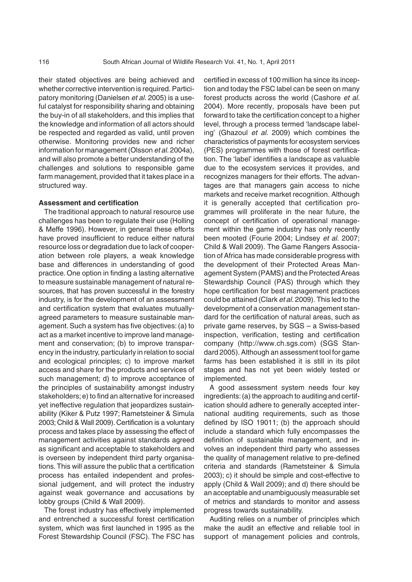their stated objectives are being achieved and whether corrective intervention is required. Participatory monitoring (Danielsen et al. 2005) is a useful catalyst for responsibility sharing and obtaining the buy-in of all stakeholders, and this implies that the knowledge and information of all actors should be respected and regarded as valid, until proven otherwise. Monitoring provides new and richer information for management (Olsson et al. 2004a), and will also promote a better understanding of the challenges and solutions to responsible game farm management, provided that it takes place in a structured way.

# **Assessment and certification**

The traditional approach to natural resource use challenges has been to regulate their use (Holling & Meffe 1996). However, in general these efforts have proved insufficient to reduce either natural resource loss or degradation due to lack of cooperation between role players, a weak knowledge base and differences in understanding of good practice. One option in finding a lasting alternative to measure sustainable management of natural resources, that has proven successful in the forestry industry, is for the development of an assessment and certification system that evaluates mutuallyagreed parameters to measure sustainable management. Such a system has five objectives: (a) to act as a market incentive to improve land management and conservation; (b) to improve transparency in the industry, particularly in relation to social and ecological principles; c) to improve market access and share for the products and services of such management; d) to improve acceptance of the principles of sustainability amongst industry stakeholders;e) to find an alternative for increased yet ineffective regulation that jeopardizes sustainability (Kiker & Putz 1997; Rametsteiner & Simula 2003; Child & Wall 2009). Certification is a voluntary process and takes place by assessing the effect of management activities against standards agreed as significant and acceptable to stakeholders and is overseen by independent third party organisations. This will assure the public that a certification process has entailed independent and professional judgement, and will protect the industry against weak governance and accusations by lobby groups (Child & Wall 2009).

The forest industry has effectively implemented and entrenched a successful forest certification system, which was first launched in 1995 as the Forest Stewardship Council (FSC). The FSC has

certified in excess of 100 million ha since its inception and today the FSC label can be seen on many forest products across the world (Cashore et al. 2004). More recently, proposals have been put forward to take the certification concept to a higher level, through a process termed 'landscape labeling' (Ghazoul et al. 2009) which combines the characteristics of payments for ecosystem services (PES) programmes with those of forest certification. The 'label' identifies a landscape as valuable due to the ecosystem services it provides, and recognizes managers for their efforts. The advantages are that managers gain access to niche markets and receive market recognition. Although it is generally accepted that certification programmes will proliferate in the near future, the concept of certification of operational management within the game industry has only recently been mooted (Fourie 2004; Lindsey et al. 2007; Child & Wall 2009). The Game Rangers Association of Africa has made considerable progress with the development of their Protected Areas Management System (PAMS) and the Protected Areas Stewardship Council (PAS) through which they hope certification for best management practices could be attained (Clark et al. 2009). This led to the development of a conservation management standard for the certification of natural areas, such as private game reserves, by SGS – a Swiss-based inspection, verification, testing and certification company (http://www.ch.sgs.com) (SGS Standard 2005). Although an assessment tool for game farms has been established it is still in its pilot stages and has not yet been widely tested or implemented.

A good assessment system needs four key ingredients:(a) the approach to auditing and certification should adhere to generally accepted international auditing requirements, such as those defined by ISO 19011; (b) the approach should include a standard which fully encompasses the definition of sustainable management, and involves an independent third party who assesses the quality of management relative to pre-defined criteria and standards (Rametsteiner & Simula 2003); c) it should be simple and cost-effective to apply (Child & Wall 2009); and d) there should be an acceptable and unambiguously measurable set of metrics and standards to monitor and assess progress towards sustainability.

Auditing relies on a number of principles which make the audit an effective and reliable tool in support of management policies and controls,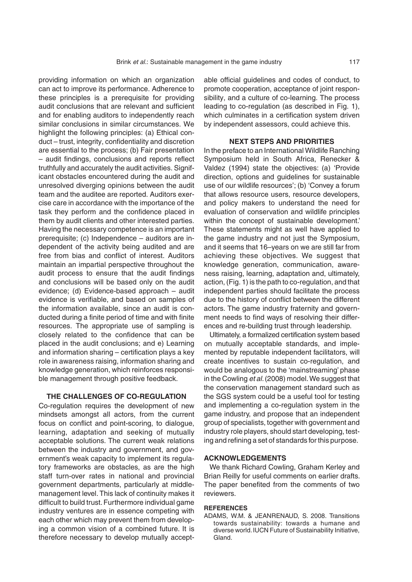providing information on which an organization can act to improve its performance. Adherence to these principles is a prerequisite for providing audit conclusions that are relevant and sufficient and for enabling auditors to independently reach similar conclusions in similar circumstances. We highlight the following principles: (a) Ethical conduct – trust, integrity, confidentiality and discretion are essential to the process; (b) Fair presentation – audit findings, conclusions and reports reflect truthfully and accurately the audit activities. Significant obstacles encountered during the audit and unresolved diverging opinions between the audit team and the auditee are reported. Auditors exercise care in accordance with the importance of the task they perform and the confidence placed in them by audit clients and other interested parties. Having the necessary competence is an important prerequisite; (c) Independence – auditors are independent of the activity being audited and are free from bias and conflict of interest. Auditors maintain an impartial perspective throughout the audit process to ensure that the audit findings and conclusions will be based only on the audit evidence; (d) Evidence-based approach – audit evidence is verifiable, and based on samples of the information available, since an audit is conducted during a finite period of time and with finite resources. The appropriate use of sampling is closely related to the confidence that can be placed in the audit conclusions; and e) Learning and information sharing – certification plays a key role in awareness raising, information sharing and knowledge generation, which reinforces responsible management through positive feedback.

# **THE CHALLENGES OF CO-REGULATION**

Co-regulation requires the development of new mindsets amongst all actors, from the current focus on conflict and point-scoring, to dialogue, learning, adaptation and seeking of mutually acceptable solutions. The current weak relations between the industry and government, and government's weak capacity to implement its regulatory frameworks are obstacles, as are the high staff turn-over rates in national and provincial government departments, particularly at middlemanagement level. This lack of continuity makes it difficult to build trust. Furthermore individual game industry ventures are in essence competing with each other which may prevent them from developing a common vision of a combined future. It is therefore necessary to develop mutually acceptable official guidelines and codes of conduct, to promote cooperation, acceptance of joint responsibility, and a culture of co-learning. The process leading to co-regulation (as described in Fig. 1), which culminates in a certification system driven by independent assessors, could achieve this.

#### **NEXT STEPS AND PRIORITIES**

In the preface to an International Wildlife Ranching Symposium held in South Africa, Renecker & Valdez (1994) state the objectives: (a) 'Provide direction, options and guidelines for sustainable use of our wildlife resources'; (b) 'Convey a forum that allows resource users, resource developers, and policy makers to understand the need for evaluation of conservation and wildlife principles within the concept of sustainable development.' These statements might as well have applied to the game industry and not just the Symposium, and it seems that 16–years on we are still far from achieving these objectives. We suggest that knowledge generation, communication, awareness raising, learning, adaptation and, ultimately, action, (Fig. 1) is the path to co-regulation, and that independent parties should facilitate the process due to the history of conflict between the different actors. The game industry fraternity and government needs to find ways of resolving their differences and re-building trust through leadership.

Ultimately, a formalized certification system based on mutually acceptable standards, and implemented by reputable independent facilitators, will create incentives to sustain co-regulation, and would be analogous to the 'mainstreaming' phase in the Cowling et al. (2008) model. We suggest that the conservation management standard such as the SGS system could be a useful tool for testing and implementing a co-regulation system in the game industry, and propose that an independent group of specialists, together with government and industry role players, should start developing, testing and refining a set of standards for this purpose.

### **ACKNOWLEDGEMENTS**

We thank Richard Cowling, Graham Kerley and Brian Reilly for useful comments on earlier drafts. The paper benefited from the comments of two reviewers.

#### **REFERENCES**

ADAMS, W.M. & JEANRENAUD, S. 2008. Transitions towards sustainability: towards a humane and diverse world.IUCN Future of Sustainability Initiative, Gland.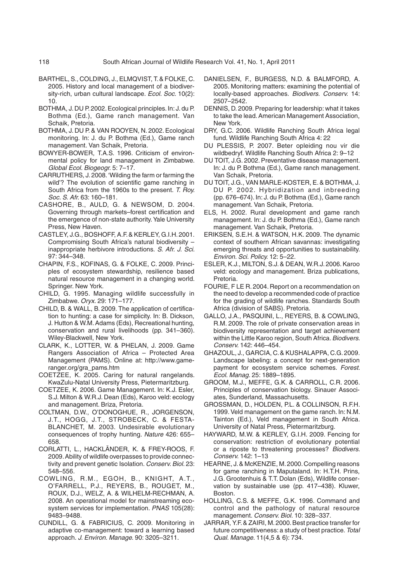- BARTHEL, S., COLDING, J., ELMQVIST, T.& FOLKE, C. 2005. History and local management of a biodiversity-rich, urban cultural landscape. Ecol. Soc. 10(2): 10.
- BOTHMA, J. DU P. 2002. Ecological principles. In: J. du P. Bothma (Ed.), Game ranch management. Van Schaik, Pretoria.
- BOTHMA, J. DU P. & VAN ROOYEN, N. 2002. Ecological monitoring. In: J. du P. Bothma (Ed.), Game ranch management. Van Schaik, Pretoria.
- BOWYER-BOWER, T.A.S. 1996. Criticism of environmental policy for land management in Zimbabwe. Global Ecol. Biogeogr. 5: 7–17.
- CARRUTHERS, J. 2008. 'Wilding the farm or farming the wild'? The evolution of scientific game ranching in South Africa from the 1960s to the present. T. Roy. Soc. S. Afr. 63: 160–181.
- CASHORE, B., AULD, G. & NEWSOM, D. 2004. Governing through markets–forest certification and the emergence of non-state authority. Yale University Press, New Haven.
- CASTLEY, J.G., BOSHOFF, A.F.& KERLEY, G.I.H.2001. Compromising South Africa's natural biodiversity – inappropriate herbivore introductions. S. Afr. J. Sci. 97: 344–348.
- CHAPIN, F.S., KOFINAS, G. & FOLKE, C. 2009. Principles of ecosystem stewardship, resilience based natural resource management in a changing world. Springer. New York.
- CHILD, G. 1995. Managing wildlife successfully in Zimbabwe. Oryx. 29: 171–177.
- CHILD, B. & WALL, B. 2009. The application of certification to hunting: a case for simplicity. In: B. Dickson, J. Hutton & W.M.Adams (Eds), Recreational hunting, conservation and rural livelihoods (pp. 341–360). Wiley-Blackwell, New York.
- CLARK, K., LOTTER, W. & PHELAN, J. 2009. Game Rangers Association of Africa – Protected Area Management (PAMS). Online at: http://www.gameranger.org/gra\_pams.htm
- COETZEE, K. 2005. Caring for natural rangelands. KwaZulu-Natal University Press, Pietermaritzburg.
- COETZEE, K. 2006. Game Management. In: K.J. Esler, S.J. Milton & W.R.J. Dean (Eds), Karoo veld: ecology and management. Briza, Pretoria.
- COLTMAN, D.W., O'DONOGHUE, R., JORGENSON, J.T., HOGG, J.T., STROBECK, C. & FESTA-BLANCHET, M. 2003. Undesirable evolutionary consequences of trophy hunting. Nature 426: 655– 658.
- CORLATTI, L., HACKLÄNDER, K. & FREY-ROOS, F. 2009.Ability of wildlife overpasses to provide connectivity and prevent genetic Isolation. Conserv. Biol. 23: 548–556.
- COWLING, R.M., EGOH, B., KNIGHT, A.T., O'FARRELL, P.J., REYERS, B., ROUGET, M., ROUX, D.J., WELZ, A. & WILHELM-RECHMAN, A. 2008. An operational model for mainstreaming ecosystem services for implementation. PNAS 105(28): 9483–9488.
- CUNDILL, G. & FABRICIUS, C. 2009. Monitoring in adaptive co-management: toward a learning based approach. J. Environ. Manage. 90: 3205–3211.
- DANIELSEN, F., BURGESS, N.D. & BALMFORD, A. 2005. Monitoring matters: examining the potential of locally-based approaches. Biodivers. Conserv. 14: 2507–2542.
- DENNIS, D. 2009. Preparing for leadership: what it takes to take the lead. American Management Association, New York.
- DRY, G.C. 2006. Wildlife Ranching South Africa legal fund. Wildlife Ranching South Africa 4: 22
- DU PLESSIS, P. 2007. Beter opleiding nou vir die wildbedryf. Wildlife Ranching South Africa 2: 9–12
- DU TOIT, J.G. 2002. Preventative disease management. In: J. du P. Bothma (Ed.), Game ranch management. Van Schaik, Pretoria.
- DU TOIT, J.G., VAN MARLE-KOSTER, E. & BOTHMA, J. DU P. 2002. Hybridization and inbreeding (pp. 676–674). In: J. du P. Bothma (Ed.), Game ranch management. Van Schaik, Pretoria.
- ELS, H. 2002. Rural development and game ranch management. In: J. du P. Bothma (Ed.), Game ranch management. Van Schaik, Pretoria.
- ERIKSEN, S.E.H. & WATSON, H.K. 2009. The dynamic context of southern African savannas: investigating emerging threats and opportunities to sustainability. Environ. Sci. Policy. 12: 5–22.
- ESLER, K.J., MILTON, S.J. & DEAN, W.R.J. 2006. Karoo veld: ecology and management. Briza publications, Pretoria.
- FOURIE, F LE R. 2004. Report on a recommendation on the need to develop a recommended code of practice for the grading of wildlife ranches. Standards South Africa (division of SABS). Pretoria.
- GALLO, J.A., PASQUINI, L., REYERS, B. & COWLING, R.M. 2009. The role of private conservation areas in biodiversity representation and target achievement within the Little Karoo region, South Africa. Biodivers. Conserv. 142: 446–454.
- GHAZOUL, J., GARCIA, C.& KUSHALAPPA, C.G.2009. Landscape labeling: a concept for next-generation payment for ecosystem service schemes. Forest. Ecol. Manag. 25: 1889–1895.
- GROOM, M.J., MEFFE, G.K. & CARROLL, C.R. 2006. Principles of conservation biology. Sinauer Associates, Sunderland, Massachusetts.
- GROSSMAN, D., HOLDEN, P.L. & COLLINSON, R.F.H. 1999. Veld management on the game ranch. In: N.M. Tainton (Ed.), Veld management in South Africa. University of Natal Press, Pietermaritzburg.
- HAYWARD, M.W. & KERLEY, G.I.H. 2009. Fencing for conservation: restriction of evolutionary potential or a riposte to threatening processes? Biodivers. Conserv. 142: 1–13
- HEARNE, J.& McKENZIE, M.2000.Compelling reasons for game ranching in Maputaland. In: H.T.H. Prins, J.G. Grootenhuis & T.T. Dolan (Eds), Wildlife conservation by sustainable use (pp. 417–438). Kluwer, Boston.
- HOLLING, C.S. & MEFFE, G.K. 1996. Command and control and the pathology of natural resource management. Conserv. Biol. 10: 328–337.
- JARRAR, Y.F.& ZAIRI, M.2000.Best practice transfer for future competitiveness: a study of best practice. Total Qual. Manage. 11(4,5 & 6): 734.